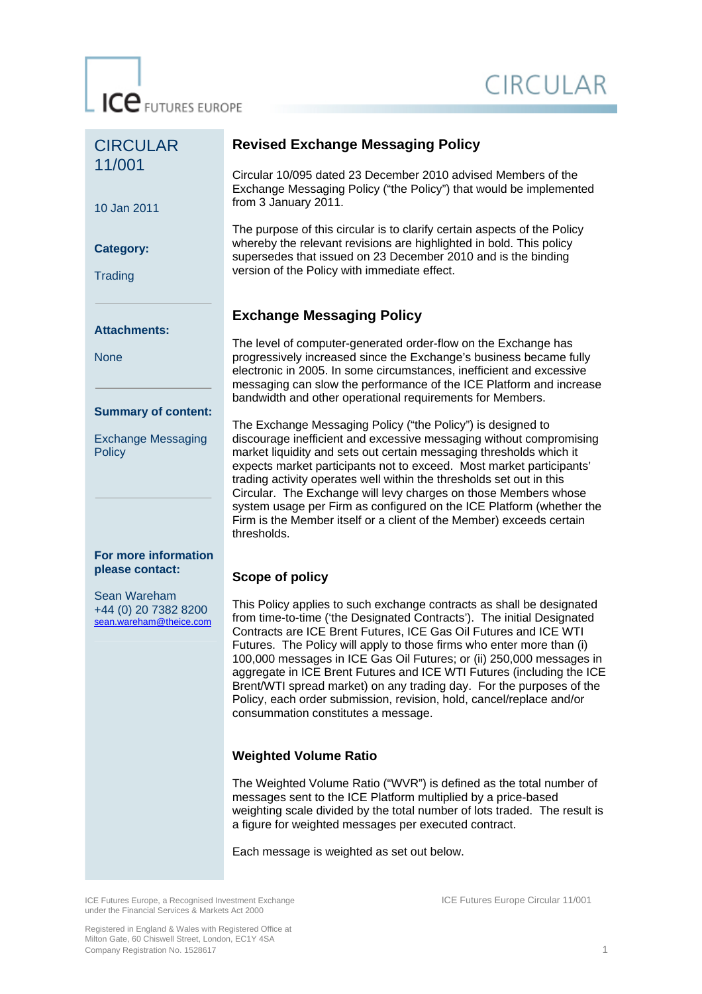ICE FUTURES EUROPE

# CIRCULAR

| <b>CIRCULAR</b>                                                          | <b>Revised Exchange Messaging Policy</b>                                                                                                                                                                                                                                                                                                                                                                                                                                                                                                                                                                                             |  |  |
|--------------------------------------------------------------------------|--------------------------------------------------------------------------------------------------------------------------------------------------------------------------------------------------------------------------------------------------------------------------------------------------------------------------------------------------------------------------------------------------------------------------------------------------------------------------------------------------------------------------------------------------------------------------------------------------------------------------------------|--|--|
| 11/001<br>10 Jan 2011                                                    | Circular 10/095 dated 23 December 2010 advised Members of the<br>Exchange Messaging Policy ("the Policy") that would be implemented<br>from 3 January 2011.                                                                                                                                                                                                                                                                                                                                                                                                                                                                          |  |  |
| <b>Category:</b><br>Trading                                              | The purpose of this circular is to clarify certain aspects of the Policy<br>whereby the relevant revisions are highlighted in bold. This policy<br>supersedes that issued on 23 December 2010 and is the binding<br>version of the Policy with immediate effect.                                                                                                                                                                                                                                                                                                                                                                     |  |  |
|                                                                          | <b>Exchange Messaging Policy</b>                                                                                                                                                                                                                                                                                                                                                                                                                                                                                                                                                                                                     |  |  |
| <b>Attachments:</b><br><b>None</b>                                       | The level of computer-generated order-flow on the Exchange has<br>progressively increased since the Exchange's business became fully<br>electronic in 2005. In some circumstances, inefficient and excessive<br>messaging can slow the performance of the ICE Platform and increase<br>bandwidth and other operational requirements for Members.                                                                                                                                                                                                                                                                                     |  |  |
| <b>Summary of content:</b><br><b>Exchange Messaging</b><br><b>Policy</b> | The Exchange Messaging Policy ("the Policy") is designed to<br>discourage inefficient and excessive messaging without compromising<br>market liquidity and sets out certain messaging thresholds which it<br>expects market participants not to exceed. Most market participants'<br>trading activity operates well within the thresholds set out in this<br>Circular. The Exchange will levy charges on those Members whose<br>system usage per Firm as configured on the ICE Platform (whether the<br>Firm is the Member itself or a client of the Member) exceeds certain<br>thresholds.                                          |  |  |
| For more information<br>please contact:                                  | Scope of policy                                                                                                                                                                                                                                                                                                                                                                                                                                                                                                                                                                                                                      |  |  |
| Sean Wareham<br>+44 (0) 20 7382 8200<br>sean.wareham@theice.com          | This Policy applies to such exchange contracts as shall be designated<br>from time-to-time ('the Designated Contracts'). The initial Designated<br>Contracts are ICE Brent Futures, ICE Gas Oil Futures and ICE WTI<br>Futures. The Policy will apply to those firms who enter more than (i)<br>100,000 messages in ICE Gas Oil Futures; or (ii) 250,000 messages in<br>aggregate in ICE Brent Futures and ICE WTI Futures (including the ICE<br>Brent/WTI spread market) on any trading day. For the purposes of the<br>Policy, each order submission, revision, hold, cancel/replace and/or<br>consummation constitutes a message. |  |  |
|                                                                          | <b>Weighted Volume Ratio</b>                                                                                                                                                                                                                                                                                                                                                                                                                                                                                                                                                                                                         |  |  |
|                                                                          | The Weighted Volume Ratio ("WVR") is defined as the total number of<br>messages sent to the ICE Platform multiplied by a price-based<br>weighting scale divided by the total number of lots traded. The result is<br>a figure for weighted messages per executed contract.                                                                                                                                                                                                                                                                                                                                                           |  |  |
|                                                                          | Each message is weighted as set out below.                                                                                                                                                                                                                                                                                                                                                                                                                                                                                                                                                                                           |  |  |

ICE Futures Europe, a Recognised Investment Exchange ICE Futures Europe Circular 11/001 under the Financial Services & Markets Act 2000

Registered in England & Wales with Registered Office at Milton Gate, 60 Chiswell Street, London, EC1Y 4SA Company Registration No. 1528617 1 2004 1 2004 1 2006 1 2006 1 2006 1 2007 1 2006 1 2007 1 2008 1 2009 1 2007 1 2008 1 2009 1 2007 1 2008 1 2009 1 2009 1 2009 1 2009 1 2009 1 2009 1 2009 1 2009 1 2009 1 2009 1 2009 1 2009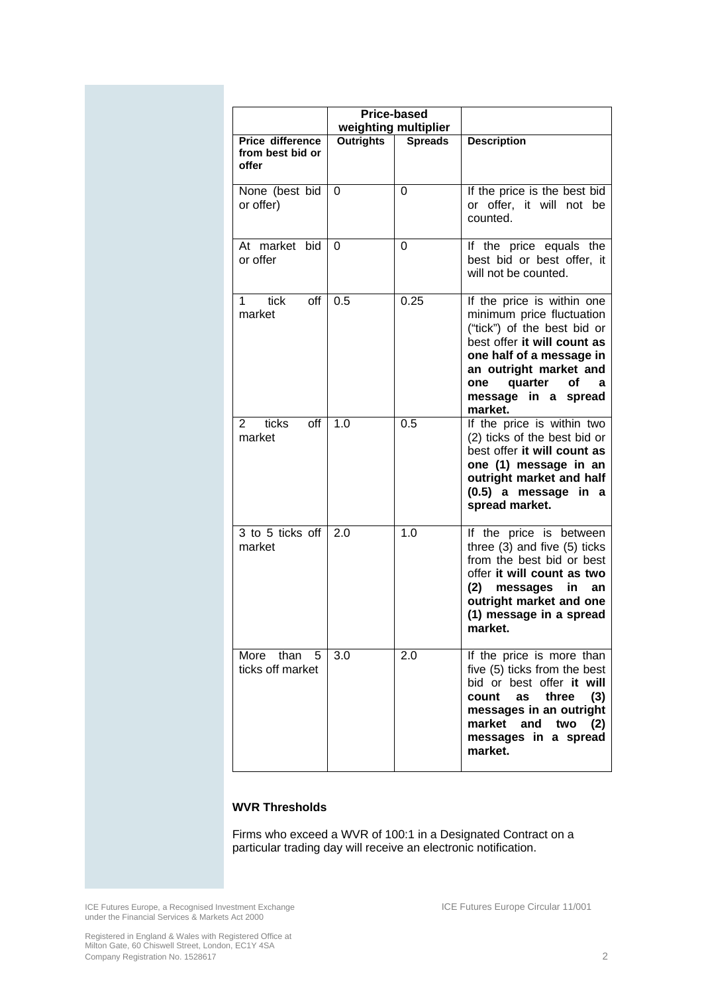| Price-based                                   |                  |                      |                                                                                                                                                                                                                                            |  |
|-----------------------------------------------|------------------|----------------------|--------------------------------------------------------------------------------------------------------------------------------------------------------------------------------------------------------------------------------------------|--|
|                                               |                  | weighting multiplier |                                                                                                                                                                                                                                            |  |
| Price difference<br>from best bid or<br>offer | <b>Outrights</b> | <b>Spreads</b>       | <b>Description</b>                                                                                                                                                                                                                         |  |
| None (best bid<br>or offer)                   | $\Omega$         | 0                    | If the price is the best bid<br>or offer, it will not be<br>counted.                                                                                                                                                                       |  |
| At market bid<br>or offer                     | $\Omega$         | 0                    | If the price equals the<br>best bid or best offer, it<br>will not be counted.                                                                                                                                                              |  |
| tick<br>off<br>1.<br>market                   | 0.5              | 0.25                 | If the price is within one<br>minimum price fluctuation<br>("tick") of the best bid or<br>best offer it will count as<br>one half of a message in<br>an outright market and<br>quarter<br>οf<br>one<br>a<br>message in a spread<br>market. |  |
| $\overline{2}$<br>ticks<br>off<br>market      | 1.0              | 0.5                  | If the price is within two<br>(2) ticks of the best bid or<br>best offer it will count as<br>one (1) message in an<br>outright market and half<br>(0.5) a message in a<br>spread market.                                                   |  |
| 3 to 5 ticks off<br>market                    | 2.0              | 1.0                  | If the price is between<br>three (3) and five (5) ticks<br>from the best bid or best<br>offer it will count as two<br>(2) messages in<br>an<br>outright market and one<br>(1) message in a spread<br>market.                               |  |
| More than 5<br>ticks off market               | 3.0              | 2.0                  | If the price is more than<br>five (5) ticks from the best<br>bid or best offer it will<br>as<br>three<br>(3)<br>count<br>messages in an outright<br>market and two<br>(2)<br>messages in a spread<br>market.                               |  |

## **WVR Thresholds**

Firms who exceed a WVR of 100:1 in a Designated Contract on a particular trading day will receive an electronic notification.

ICE Futures Europe, a Recognised Investment Exchange ICE Futures Europe Circular 11/001 under the Financial Services & Markets Act 2000

Registered in England & Wales with Registered Office at Milton Gate, 60 Chiswell Street, London, EC1Y 4SA Company Registration No. 1528617 2007. The company Registration No. 1528617